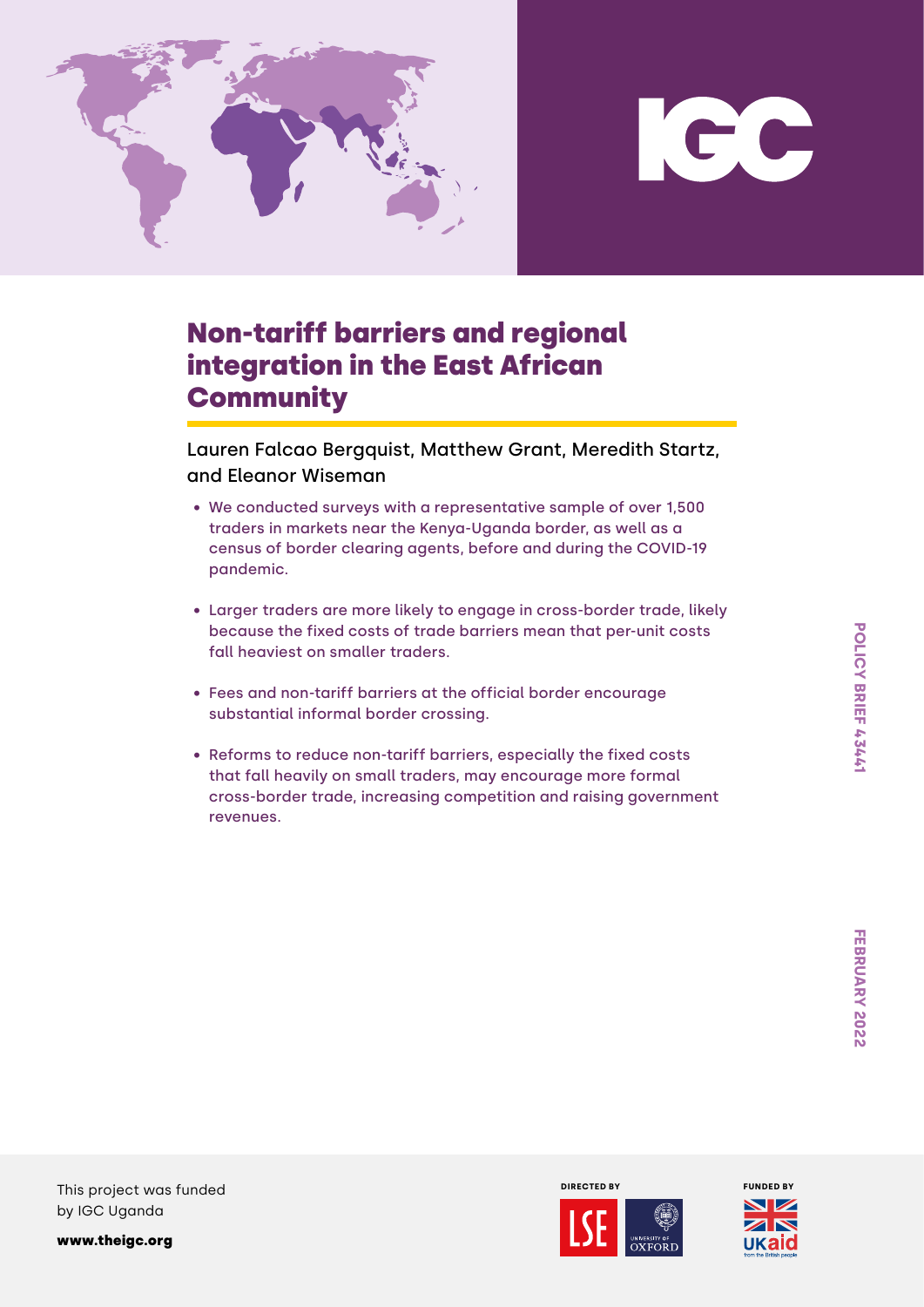



# Non-tariff barriers and regional integration in the East African **Community**

Lauren Falcao Bergquist, Matthew Grant, Meredith Startz, and Eleanor Wiseman

- We conducted surveys with a representative sample of over 1,500 traders in markets near the Kenya-Uganda border, as well as a census of border clearing agents, before and during the COVID-19 pandemic.
- Larger traders are more likely to engage in cross-border trade, likely because the fixed costs of trade barriers mean that per-unit costs fall heaviest on smaller traders.
- Fees and non-tariff barriers at the official border encourage substantial informal border crossing.
- Reforms to reduce non-tariff barriers, especially the fixed costs that fall heavily on small traders, may encourage more formal cross-border trade, increasing competition and raising government revenues.

This project was funded by IGC Uganda

[www.theigc.org](https://www.theigc.org/)



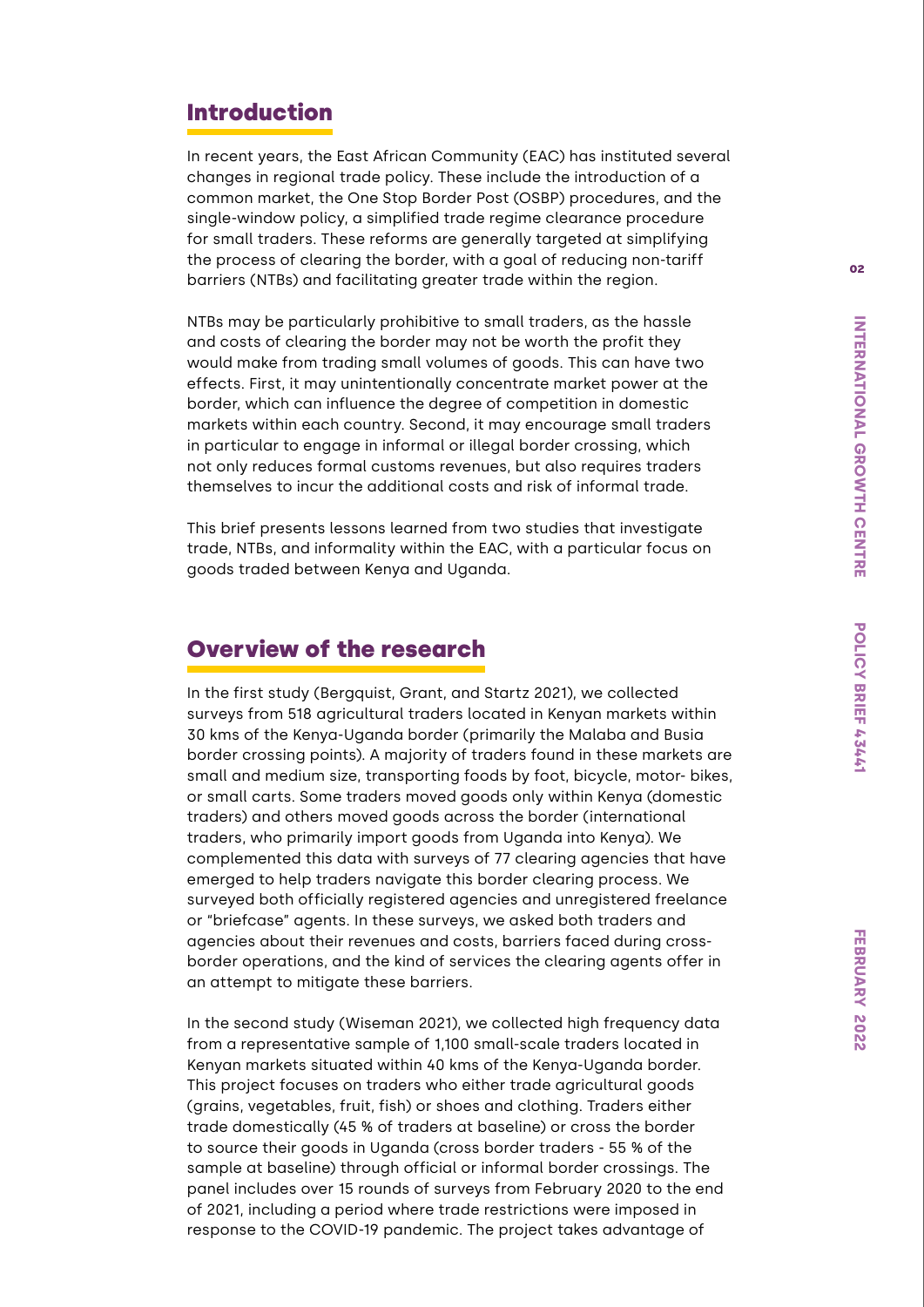## Introduction

In recent years, the East African Community (EAC) has instituted several changes in regional trade policy. These include the introduction of a common market, the One Stop Border Post (OSBP) procedures, and the single-window policy, a simplified trade regime clearance procedure for small traders. These reforms are generally targeted at simplifying the process of clearing the border, with a goal of reducing non-tariff barriers (NTBs) and facilitating greater trade within the region.

NTBs may be particularly prohibitive to small traders, as the hassle and costs of clearing the border may not be worth the profit they would make from trading small volumes of goods. This can have two effects. First, it may unintentionally concentrate market power at the border, which can influence the degree of competition in domestic markets within each country. Second, it may encourage small traders in particular to engage in informal or illegal border crossing, which not only reduces formal customs revenues, but also requires traders themselves to incur the additional costs and risk of informal trade.

This brief presents lessons learned from two studies that investigate trade, NTBs, and informality within the EAC, with a particular focus on goods traded between Kenya and Uganda.

# Overview of the research

In the first study (Bergquist, Grant, and Startz 2021), we collected surveys from 518 agricultural traders located in Kenyan markets within 30 kms of the Kenya-Uganda border (primarily the Malaba and Busia border crossing points). A majority of traders found in these markets are small and medium size, transporting foods by foot, bicycle, motor- bikes, or small carts. Some traders moved goods only within Kenya (domestic traders) and others moved goods across the border (international traders, who primarily import goods from Uganda into Kenya). We complemented this data with surveys of 77 clearing agencies that have emerged to help traders navigate this border clearing process. We surveyed both officially registered agencies and unregistered freelance or "briefcase" agents. In these surveys, we asked both traders and agencies about their revenues and costs, barriers faced during crossborder operations, and the kind of services the clearing agents offer in an attempt to mitigate these barriers.

In the second study (Wiseman 2021), we collected high frequency data from a representative sample of 1,100 small-scale traders located in Kenyan markets situated within 40 kms of the Kenya-Uganda border. This project focuses on traders who either trade agricultural goods (grains, vegetables, fruit, fish) or shoes and clothing. Traders either trade domestically (45 % of traders at baseline) or cross the border to source their goods in Uganda (cross border traders - 55 % of the sample at baseline) through official or informal border crossings. The panel includes over 15 rounds of surveys from February 2020 to the end of 2021, including a period where trade restrictions were imposed in response to the COVID-19 pandemic. The project takes advantage of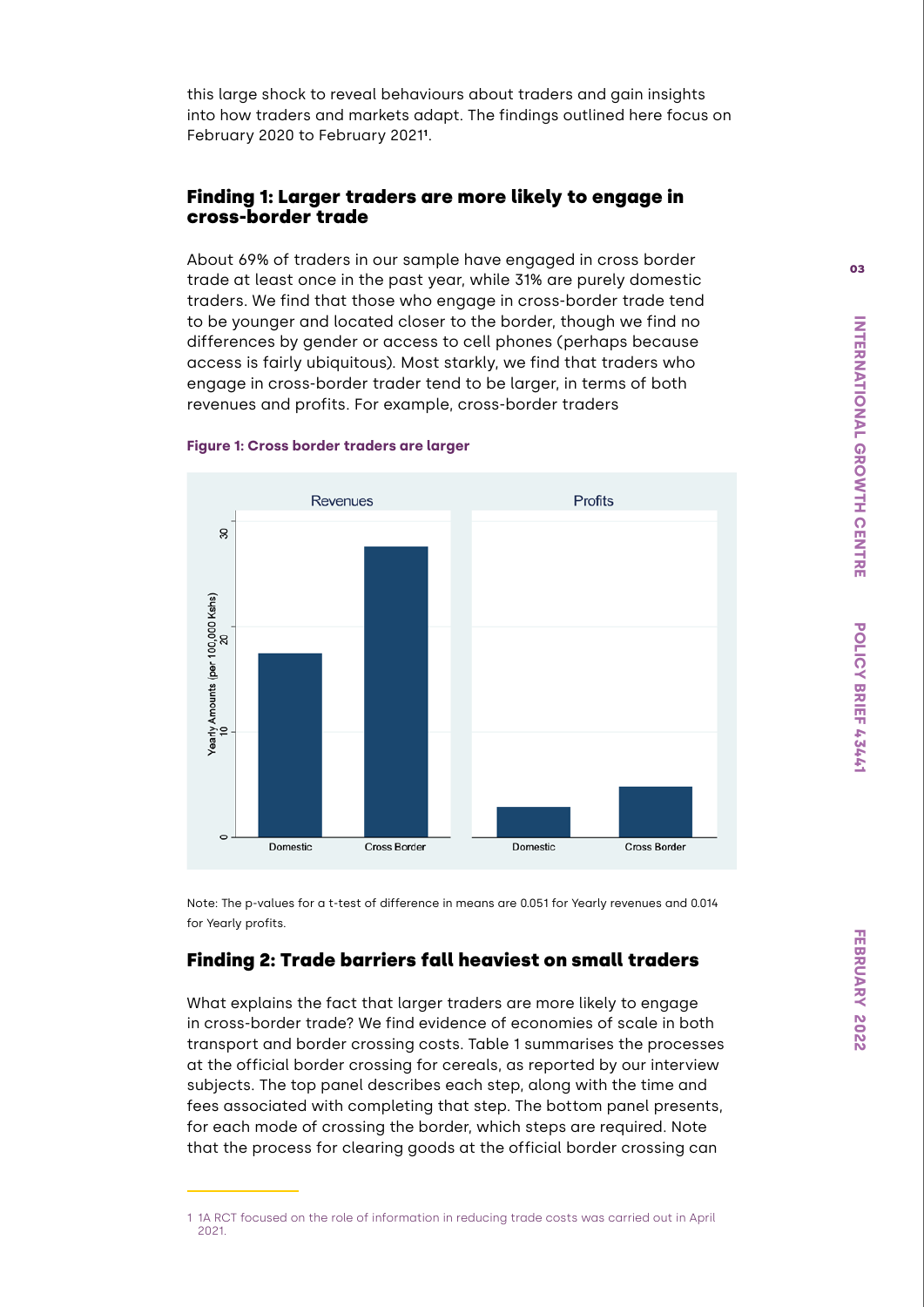this large shock to reveal behaviours about traders and gain insights into how traders and markets adapt. The findings outlined here focus on February 2020 to February 2021**<sup>1</sup>** .

### Finding 1: Larger traders are more likely to engage in cross-border trade

About 69% of traders in our sample have engaged in cross border trade at least once in the past year, while 31% are purely domestic traders. We find that those who engage in cross-border trade tend to be younger and located closer to the border, though we find no differences by gender or access to cell phones (perhaps because access is fairly ubiquitous). Most starkly, we find that traders who engage in cross-border trader tend to be larger, in terms of both revenues and profits. For example, cross-border traders



#### **Figure 1: Cross border traders are larger**

Note: The p-values for a t-test of difference in means are 0.051 for Yearly revenues and 0.014 for Yearly profits.

### Finding 2: Trade barriers fall heaviest on small traders

What explains the fact that larger traders are more likely to engage in cross-border trade? We find evidence of economies of scale in both transport and border crossing costs. Table 1 summarises the processes at the official border crossing for cereals, as reported by our interview subjects. The top panel describes each step, along with the time and fees associated with completing that step. The bottom panel presents, for each mode of crossing the border, which steps are required. Note that the process for clearing goods at the official border crossing can

<sup>1</sup> 1A RCT focused on the role of information in reducing trade costs was carried out in April 2021.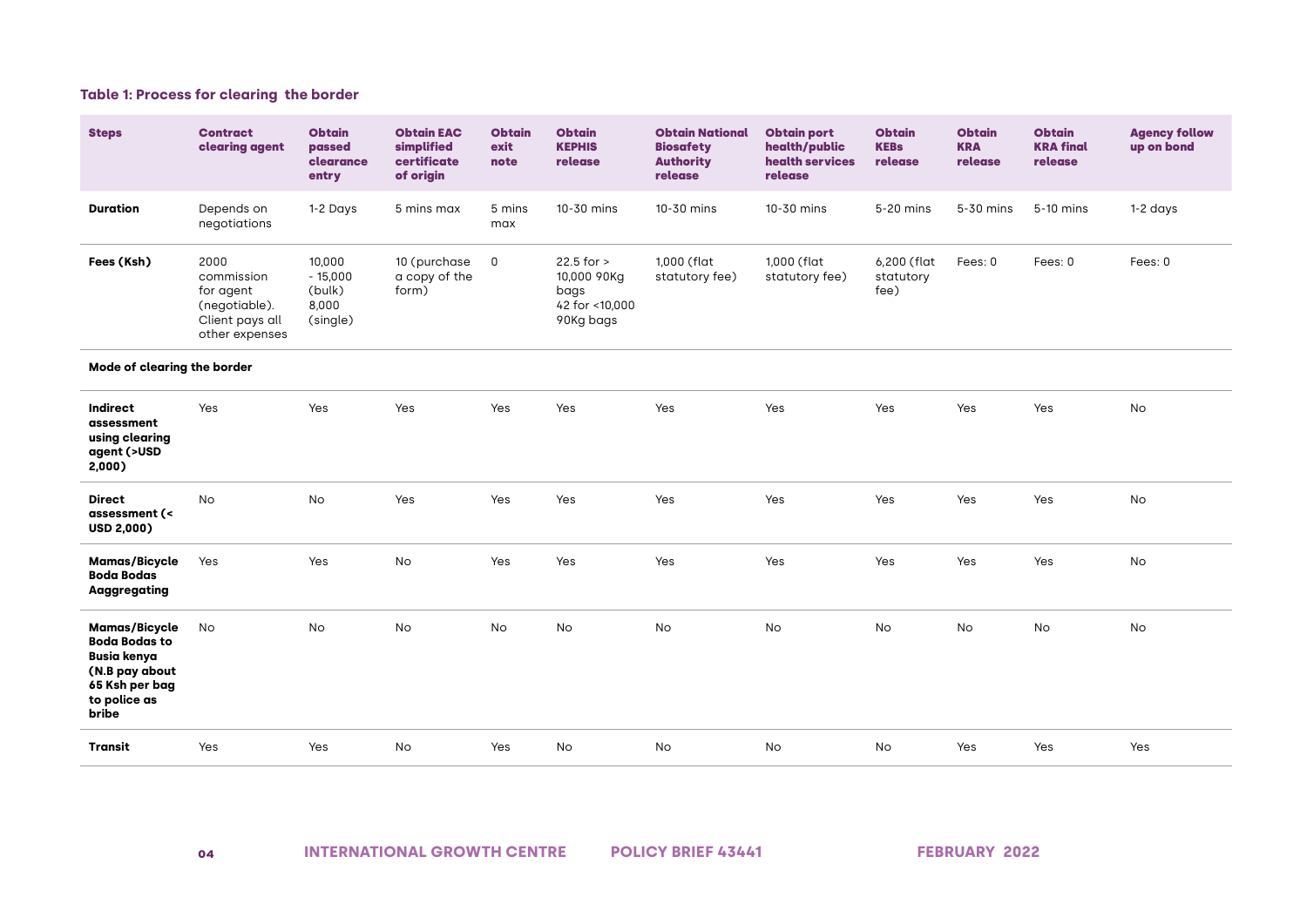#### **Table 1: Process for clearing the border**

| <b>Steps</b>                                                                                                                    | <b>Contract</b><br>clearing agent                                                     | <b>Obtain</b><br>passed<br>clearance<br>entry      | <b>Obtain EAC</b><br>simplified<br>certificate<br>of origin | <b>Obtain</b><br>exit<br>note | <b>Obtain</b><br><b>KEPHIS</b><br>release                            | <b>Obtain National</b><br><b>Biosafety</b><br><b>Authority</b><br>release | <b>Obtain port</b><br>health/public<br>health services<br>release | <b>Obtain</b><br><b>KEBs</b><br>release | <b>Obtain</b><br><b>KRA</b><br>release | <b>Obtain</b><br><b>KRA final</b><br>release | <b>Agency follow</b><br>up on bond |
|---------------------------------------------------------------------------------------------------------------------------------|---------------------------------------------------------------------------------------|----------------------------------------------------|-------------------------------------------------------------|-------------------------------|----------------------------------------------------------------------|---------------------------------------------------------------------------|-------------------------------------------------------------------|-----------------------------------------|----------------------------------------|----------------------------------------------|------------------------------------|
| <b>Duration</b>                                                                                                                 | Depends on<br>negotiations                                                            | 1-2 Days                                           | 5 mins max                                                  | 5 mins<br>max                 | 10-30 mins                                                           | 10-30 mins                                                                | 10-30 mins                                                        | 5-20 mins                               | 5-30 mins                              | 5-10 mins                                    | $1-2$ days                         |
| Fees (Ksh)                                                                                                                      | 2000<br>commission<br>for agent<br>(negotiable).<br>Client pays all<br>other expenses | 10,000<br>$-15,000$<br>(bulk)<br>8,000<br>(single) | 10 (purchase<br>a copy of the<br>form)                      | $\mathsf 0$                   | $22.5$ for $>$<br>10,000 90Kg<br>bags<br>42 for <10,000<br>90Kg bags | 1,000 (flat<br>statutory fee)                                             | 1,000 (flat<br>statutory fee)                                     | 6,200 (flat<br>statutory<br>fee)        | Fees: 0                                | Fees: 0                                      | Fees: 0                            |
| Mode of clearing the border                                                                                                     |                                                                                       |                                                    |                                                             |                               |                                                                      |                                                                           |                                                                   |                                         |                                        |                                              |                                    |
| Indirect<br>assessment<br>using clearing<br>agent (>USD<br>2,000)                                                               | Yes                                                                                   | Yes                                                | Yes                                                         | Yes                           | Yes                                                                  | Yes                                                                       | Yes                                                               | Yes                                     | Yes                                    | Yes                                          | No                                 |
| <b>Direct</b><br>assessment (<<br>USD 2,000)                                                                                    | <b>No</b>                                                                             | No                                                 | Yes                                                         | Yes                           | Yes                                                                  | Yes                                                                       | Yes                                                               | Yes                                     | Yes                                    | Yes                                          | <b>No</b>                          |
| <b>Mamas/Bicycle</b><br><b>Boda Bodas</b><br><b>Aaggregating</b>                                                                | Yes                                                                                   | Yes                                                | No                                                          | Yes                           | Yes                                                                  | Yes                                                                       | Yes                                                               | Yes                                     | Yes                                    | Yes                                          | No                                 |
| <b>Mamas/Bicycle</b><br><b>Boda Bodas to</b><br><b>Busia kenya</b><br>(N.B pay about<br>65 Ksh per bag<br>to police as<br>bribe | No                                                                                    | No                                                 | No                                                          | No                            | No                                                                   | No                                                                        | No                                                                | No                                      | No                                     | No                                           | No                                 |
| Transit                                                                                                                         | Yes                                                                                   | Yes                                                | <b>No</b>                                                   | Yes                           | <b>No</b>                                                            | <b>No</b>                                                                 | <b>No</b>                                                         | No                                      | Yes                                    | Yes                                          | Yes                                |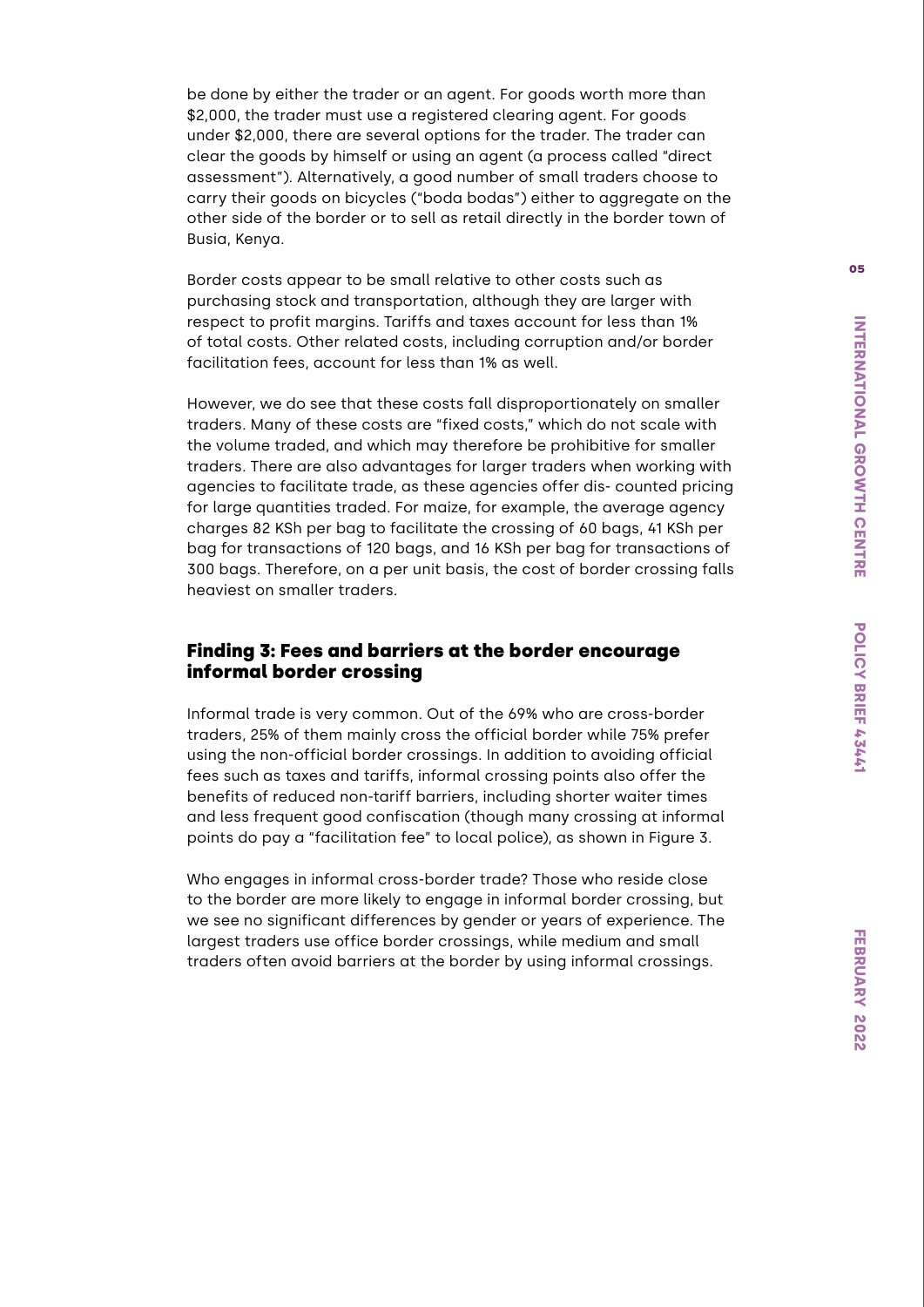be done by either the trader or an agent. For goods worth more than \$2,000, the trader must use a registered clearing agent. For goods under \$2,000, there are several options for the trader. The trader can clear the goods by himself or using an agent (a process called "direct assessment"). Alternatively, a good number of small traders choose to carry their goods on bicycles ("boda bodas") either to aggregate on the other side of the border or to sell as retail directly in the border town of Busia, Kenya.

Border costs appear to be small relative to other costs such as purchasing stock and transportation, although they are larger with respect to profit margins. Tariffs and taxes account for less than 1% of total costs. Other related costs, including corruption and/or border facilitation fees, account for less than 1% as well.

However, we do see that these costs fall disproportionately on smaller traders. Many of these costs are "fixed costs," which do not scale with the volume traded, and which may therefore be prohibitive for smaller traders. There are also advantages for larger traders when working with agencies to facilitate trade, as these agencies offer dis- counted pricing for large quantities traded. For maize, for example, the average agency charges 82 KSh per bag to facilitate the crossing of 60 bags, 41 KSh per bag for transactions of 120 bags, and 16 KSh per bag for transactions of 300 bags. Therefore, on a per unit basis, the cost of border crossing falls heaviest on smaller traders.

### Finding 3: Fees and barriers at the border encourage informal border crossing

Informal trade is very common. Out of the 69% who are cross-border traders, 25% of them mainly cross the official border while 75% prefer using the non-official border crossings. In addition to avoiding official fees such as taxes and tariffs, informal crossing points also offer the benefits of reduced non-tariff barriers, including shorter waiter times and less frequent good confiscation (though many crossing at informal points do pay a "facilitation fee" to local police), as shown in Figure 3.

Who engages in informal cross-border trade? Those who reside close to the border are more likely to engage in informal border crossing, but we see no significant differences by gender or years of experience. The largest traders use office border crossings, while medium and small traders often avoid barriers at the border by using informal crossings.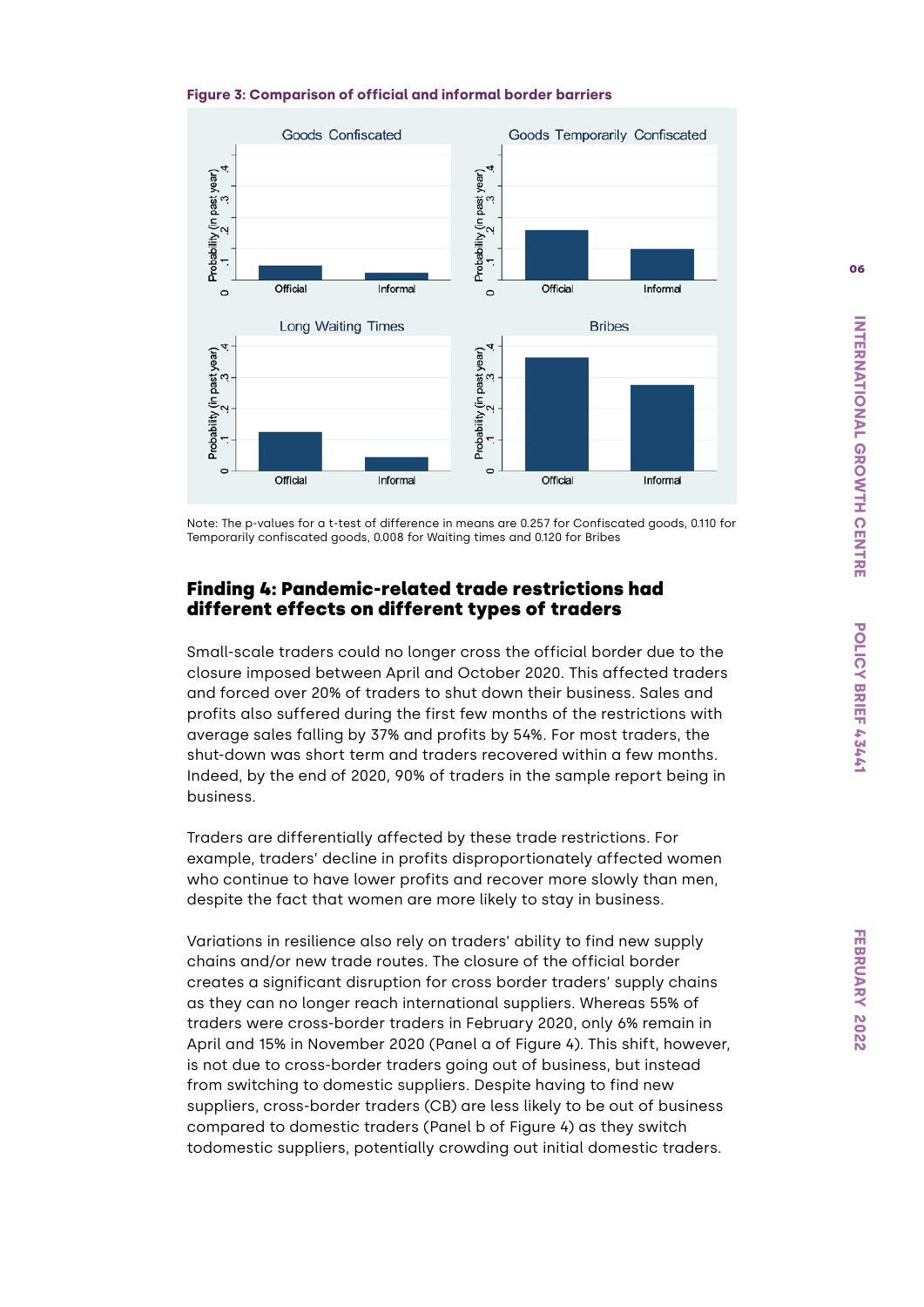



Note: The p-values for a t-test of difference in means are 0.257 for Confiscated goods, 0.110 for Temporarily confiscated goods, 0.008 for Waiting times and 0.120 for Bribes

#### Finding 4: Pandemic-related trade restrictions had different effects on different types of traders

Small-scale traders could no longer cross the official border due to the closure imposed between April and October 2020. This affected traders and forced over 20% of traders to shut down their business. Sales and profits also suffered during the first few months of the restrictions with average sales falling by 37% and profits by 54%. For most traders, the shut-down was short term and traders recovered within a few months. Indeed, by the end of 2020, 90% of traders in the sample report being in business.

Traders are differentially affected by these trade restrictions. For example, traders' decline in profits disproportionately affected women who continue to have lower profits and recover more slowly than men, despite the fact that women are more likely to stay in business.

Variations in resilience also rely on traders' ability to find new supply chains and/or new trade routes. The closure of the official border creates a significant disruption for cross border traders' supply chains as they can no longer reach international suppliers. Whereas 55% of traders were cross-border traders in February 2020, only 6% remain in April and 15% in November 2020 (Panel a of Figure 4). This shift, however, is not due to cross-border traders going out of business, but instead from switching to domestic suppliers. Despite having to find new suppliers, cross-border traders (CB) are less likely to be out of business compared to domestic traders (Panel b of Figure 4) as they switch todomestic suppliers, potentially crowding out initial domestic traders.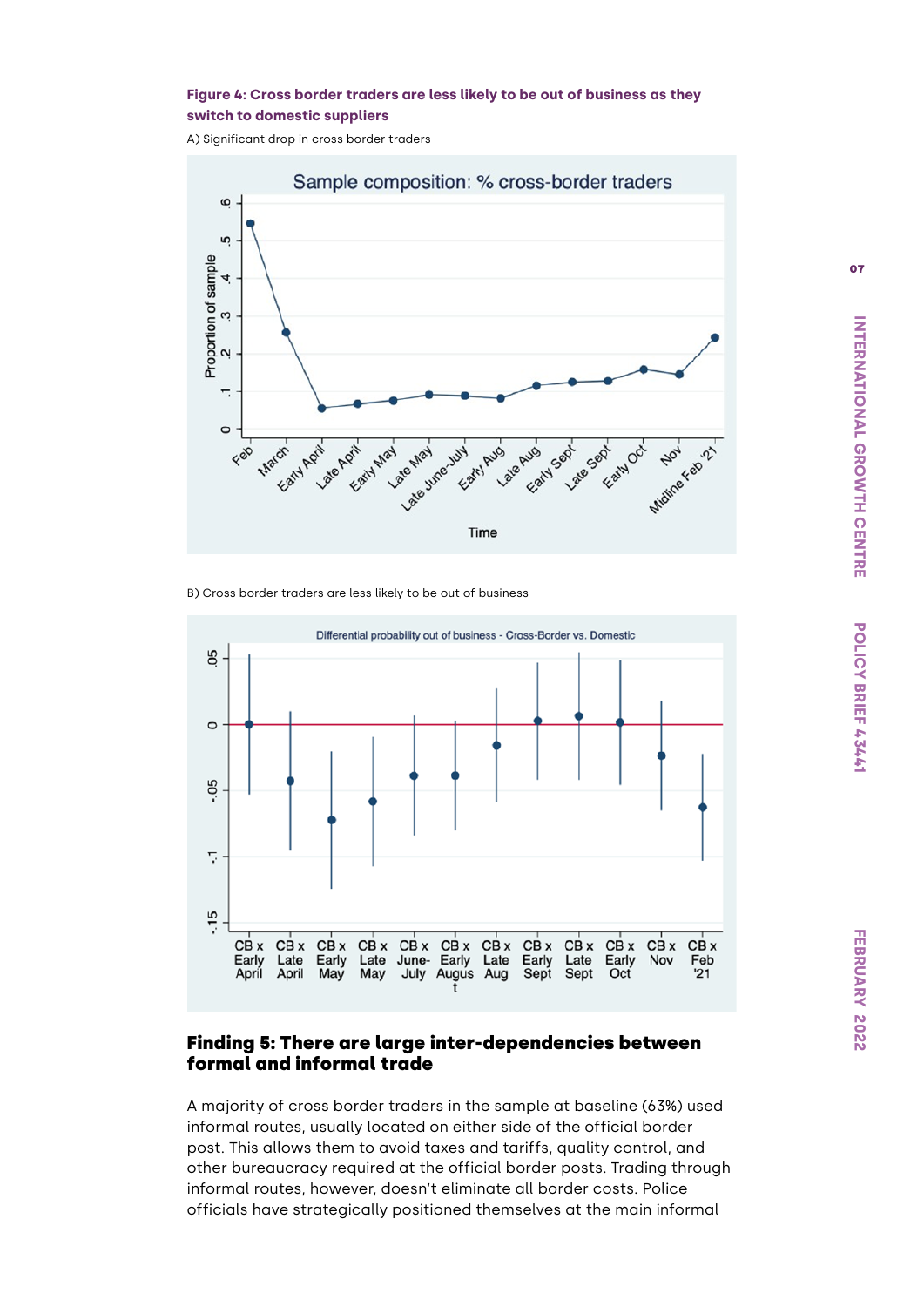#### **Figure 4: Cross border traders are less likely to be out of business as they switch to domestic suppliers**

A) Significant drop in cross border traders



B) Cross border traders are less likely to be out of business



#### Finding 5: There are large inter-dependencies between formal and informal trade

A majority of cross border traders in the sample at baseline (63%) used informal routes, usually located on either side of the official border post. This allows them to avoid taxes and tariffs, quality control, and other bureaucracy required at the official border posts. Trading through informal routes, however, doesn't eliminate all border costs. Police officials have strategically positioned themselves at the main informal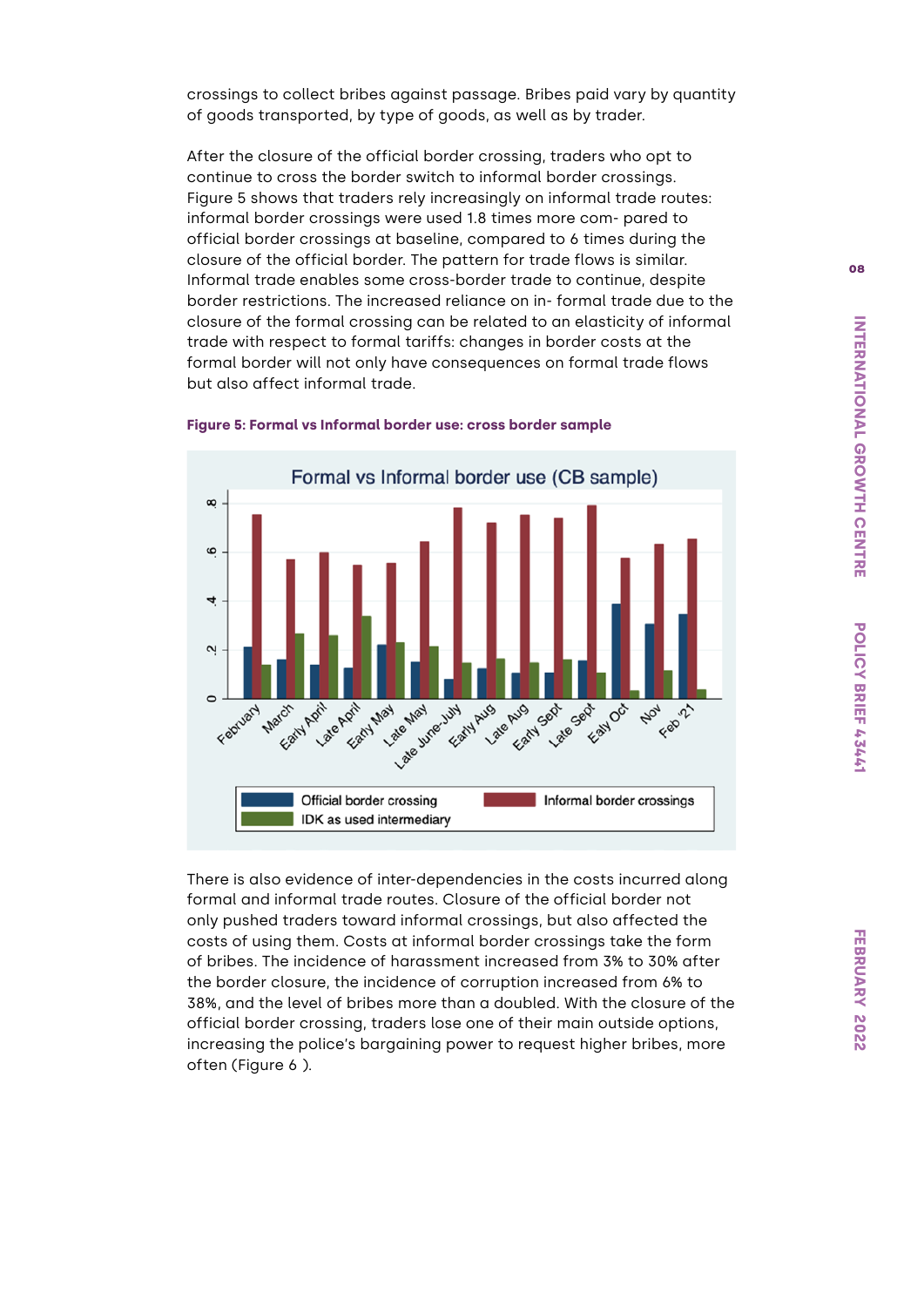crossings to collect bribes against passage. Bribes paid vary by quantity of goods transported, by type of goods, as well as by trader.

After the closure of the official border crossing, traders who opt to continue to cross the border switch to informal border crossings. Figure 5 shows that traders rely increasingly on informal trade routes: informal border crossings were used 1.8 times more com- pared to official border crossings at baseline, compared to 6 times during the closure of the official border. The pattern for trade flows is similar. Informal trade enables some cross-border trade to continue, despite border restrictions. The increased reliance on in- formal trade due to the closure of the formal crossing can be related to an elasticity of informal trade with respect to formal tariffs: changes in border costs at the formal border will not only have consequences on formal trade flows but also affect informal trade.



#### **Figure 5: Formal vs Informal border use: cross border sample**

There is also evidence of inter-dependencies in the costs incurred along formal and informal trade routes. Closure of the official border not only pushed traders toward informal crossings, but also affected the costs of using them. Costs at informal border crossings take the form of bribes. The incidence of harassment increased from 3% to 30% after the border closure, the incidence of corruption increased from 6% to 38%, and the level of bribes more than a doubled. With the closure of the official border crossing, traders lose one of their main outside options, increasing the police's bargaining power to request higher bribes, more often (Figure 6 ).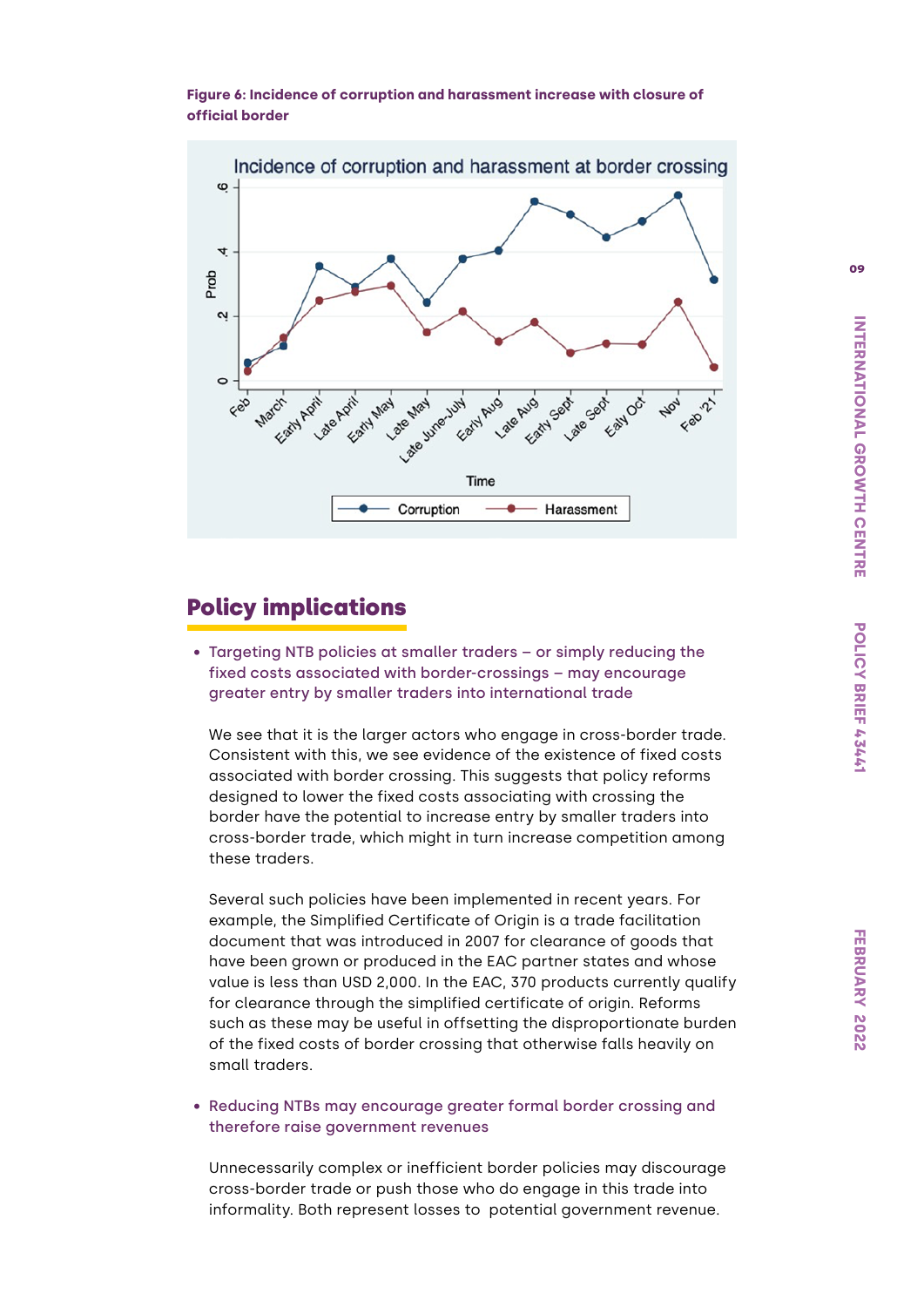



# Policy implications

• Targeting NTB policies at smaller traders – or simply reducing the fixed costs associated with border-crossings – may encourage greater entry by smaller traders into international trade

We see that it is the larger actors who engage in cross-border trade. Consistent with this, we see evidence of the existence of fixed costs associated with border crossing. This suggests that policy reforms designed to lower the fixed costs associating with crossing the border have the potential to increase entry by smaller traders into cross-border trade, which might in turn increase competition among these traders.

Several such policies have been implemented in recent years. For example, the Simplified Certificate of Origin is a trade facilitation document that was introduced in 2007 for clearance of goods that have been grown or produced in the EAC partner states and whose value is less than USD 2,000. In the EAC, 370 products currently qualify for clearance through the simplified certificate of origin. Reforms such as these may be useful in offsetting the disproportionate burden of the fixed costs of border crossing that otherwise falls heavily on small traders.

• Reducing NTBs may encourage greater formal border crossing and therefore raise government revenues

Unnecessarily complex or inefficient border policies may discourage cross-border trade or push those who do engage in this trade into informality. Both represent losses to potential government revenue.